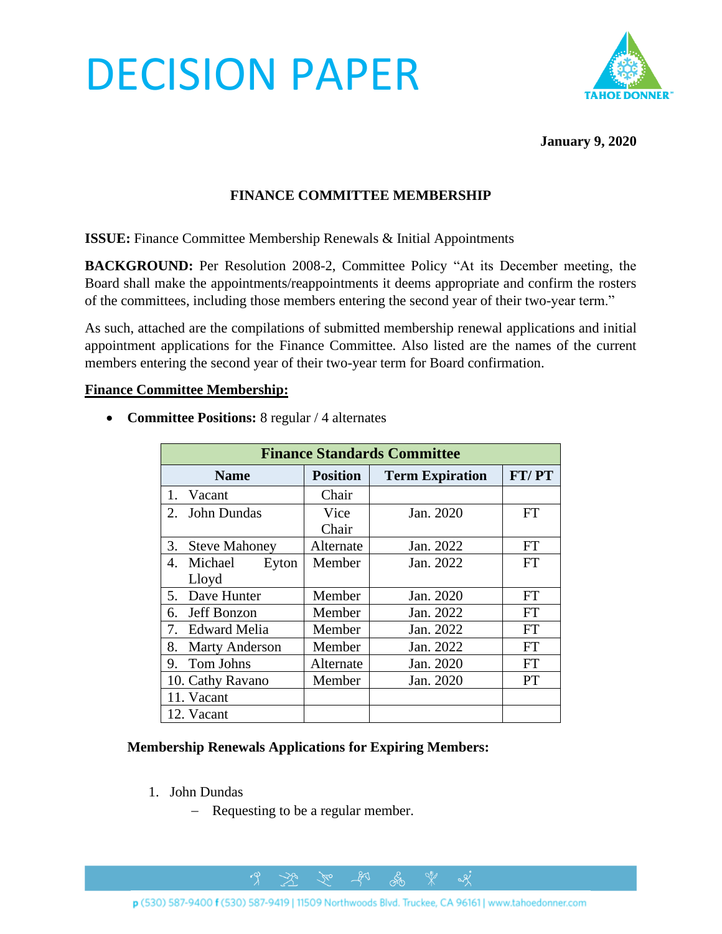# DECISION PAPER



**January 9, 2020**

### **FINANCE COMMITTEE MEMBERSHIP**

**ISSUE:** Finance Committee Membership Renewals & Initial Appointments

**BACKGROUND:** Per Resolution 2008-2, Committee Policy "At its December meeting, the Board shall make the appointments/reappointments it deems appropriate and confirm the rosters of the committees, including those members entering the second year of their two-year term."

As such, attached are the compilations of submitted membership renewal applications and initial appointment applications for the Finance Committee. Also listed are the names of the current members entering the second year of their two-year term for Board confirmation.

#### **Finance Committee Membership:**

| <b>Finance Standards Committee</b> |                 |                        |           |
|------------------------------------|-----------------|------------------------|-----------|
| <b>Name</b>                        | <b>Position</b> | <b>Term Expiration</b> | FT/PT     |
| $1_{-}$<br>Vacant                  | Chair           |                        |           |
| <b>John Dundas</b><br>2.           | Vice            | Jan. 2020              | <b>FT</b> |
|                                    | Chair           |                        |           |
| 3.<br><b>Steve Mahoney</b>         | Alternate       | Jan. 2022              | FT        |
| 4.<br>Michael<br>Eyton             | Member          | Jan. 2022              | <b>FT</b> |
| Lloyd                              |                 |                        |           |
| Dave Hunter<br>5.                  | Member          | Jan. 2020              | FT        |
| Jeff Bonzon<br>6.                  | Member          | Jan. 2022              | FT        |
| <b>Edward Melia</b><br>7.          | Member          | Jan. 2022              | FT        |
| 8.<br><b>Marty Anderson</b>        | Member          | Jan. 2022              | <b>FT</b> |
| Tom Johns<br>9.                    | Alternate       | Jan. 2020              | FT        |
| 10. Cathy Ravano                   | Member          | Jan. 2020              | PT        |
| 11. Vacant                         |                 |                        |           |
| 12. Vacant                         |                 |                        |           |

• **Committee Positions:** 8 regular / 4 alternates

#### **Membership Renewals Applications for Expiring Members:**

- 1. John Dundas
	- − Requesting to be a regular member.

 $\rightarrow$ 

 $281$ 

ക്ക്

 $\alpha$ 

 $\gamma$